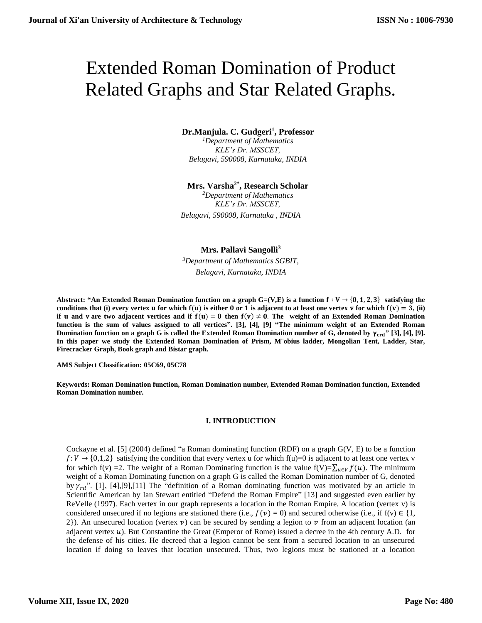# Extended Roman Domination of Product Related Graphs and Star Related Graphs.

# **Dr.Manjula. C. Gudgeri<sup>1</sup> , Professor**

*<sup>1</sup>Department of Mathematics KLE's Dr. MSSCET, Belagavi, 590008, Karnataka, INDIA*

## **Mrs. Varsha2\* , Research Scholar**

*<sup>2</sup>Department of Mathematics KLE's Dr. MSSCET, Belagavi, 590008, Karnataka , INDIA* 

## **Mrs. Pallavi Sangolli<sup>3</sup>**

*<sup>3</sup>Department of Mathematics SGBIT, Belagavi, Karnataka, INDIA*

Abstract: "An Extended Roman Domination function on a graph  $G=(V,E)$  is a function  $f: V \rightarrow \{0, 1, 2, 3\}$  satisfying the conditions that (i) every vertex **u** for which  $f(u)$  is either 0 or 1 is adjacent to at least one vertex **v** for which  $f(v) = 3$ , (ii) **if u** and **v** are two adjacent vertices and if  $f(u) = 0$  then  $f(v) \ne 0$ . The weight of an Extended Roman Domination **function is the sum of values assigned to all vertices". [3], [4], [9] "The minimum weight of an Extended Roman Domination function on a graph G is called the Extended Roman Domination number of G, denoted by**  $\gamma_{\text{erd}}$ **" [3], [4], [9]. In this paper we study the Extended Roman Domination of Prism, M¨obius ladder, Mongolian Tent, Ladder, Star, Firecracker Graph, Book graph and Bistar graph.**

**AMS Subject Classification: 05C69, 05C78**

**Keywords: Roman Domination function, Roman Domination number, Extended Roman Domination function, Extended Roman Domination number.**

## **I. INTRODUCTION**

Cockayne et al. [5] (2004) defined "a Roman dominating function (RDF) on a graph  $G(V, E)$  to be a function  $f: V \to \{0,1,2\}$  satisfying the condition that every vertex u for which  $f(u)=0$  is adjacent to at least one vertex v for which f(v) =2. The weight of a Roman Dominating function is the value f(V)= $\sum_{u \in V} f(u)$ . The minimum weight of a Roman Dominating function on a graph G is called the Roman Domination number of G, denoted by  $\gamma_{rd}$ ". [1], [4], [9], [11] The "definition of a Roman dominating function was motivated by an article in Scientific American by Ian Stewart entitled "Defend the Roman Empire" [13] and suggested even earlier by ReVelle (1997). Each vertex in our graph represents a location in the Roman Empire. A location (vertex v) is considered unsecured if no legions are stationed there (i.e.,  $f(v) = 0$ ) and secured otherwise (i.e., if  $f(v) \in \{1,$ 2}). An unsecured location (vertex  $v$ ) can be secured by sending a legion to  $v$  from an adjacent location (an adjacent vertex  $u$ ). But Constantine the Great (Emperor of Rome) issued a decree in the 4th century A.D. for the defense of his cities. He decreed that a legion cannot be sent from a secured location to an unsecured location if doing so leaves that location unsecured. Thus, two legions must be stationed at a location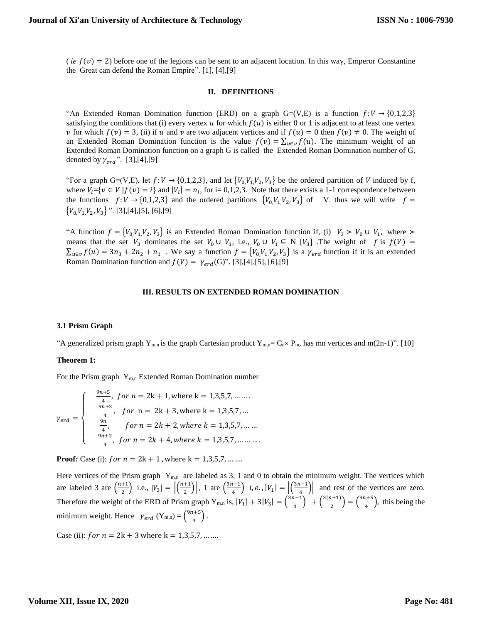( *ie*  $f(v) = 2$ ) before one of the legions can be sent to an adjacent location. In this way, Emperor Constantine the Great can defend the Roman Empire". [1], [4],[9]

#### **II. DEFINITIONS**

"An Extended Roman Domination function (ERD) on a graph G=(V,E) is a function  $f: V \rightarrow \{0,1,2,3\}$ satisfying the conditions that (i) every vertex  $u$  for which  $f(u)$  is either 0 or 1 is adjacent to at least one vertex v for which  $f(v) = 3$ , (ii) if u and v are two adjacent vertices and if  $f(u) = 0$  then  $f(v) \neq 0$ . The weight of an Extended Roman Domination function is the value  $f(v) = \sum_{u \in v} f(u)$ . The minimum weight of an Extended Roman Domination function on a graph G is called the Extended Roman Domination number of G, denoted by  $\gamma_{erd}$ ". [3],[4],[9]

"For a graph G=(V,E), let  $f: V \to \{0,1,2,3\}$ , and let  $\{V_0, V_1, V_2, V_3\}$  be the ordered partition of V induced by f, where  $V_i = \{v \in V | f(v) = i\}$  and  $|V_i| = n_i$ , for i= 0,1,2,3. Note that there exists a 1-1 correspondence between the functions  $f: V \to \{0, 1, 2, 3\}$  and the ordered partitions  $\{V_0, V_1, V_2, V_3\}$  of V. thus we will write  $f =$  $\{V_0, V_1, V_2, V_3\}$  ". [3], [4], [5], [6], [9]

"A function  $f = \{V_0, V_1, V_2, V_3\}$  is an Extended Roman Domination function if, (i)  $V_3 > V_0 \cup V_1$ , where > means that the set  $V_3$  dominates the set  $V_0 \cup V_1$ , i.e.,  $V_0 \cup V_1 \subseteq N$  [ $V_3$ ]. The weight of f is  $f(V) =$  $\sum_{u \in v} f(u) = 3n_3 + 2n_2 + n_1$ . We say a function  $f = \{V_0, V_1, V_2, V_3\}$  is a  $\gamma_{erd}$  function if it is an extended Roman Domination function and  $f(V) = \gamma_{erd}(G)$ ". [3],[4],[5], [6],[9]

#### **III. RESULTS ON EXTENDED ROMAN DOMINATION**

#### **3.1 Prism Graph**

"A generalized prism graph Y<sub>m,n</sub> is the graph Cartesian product Y<sub>m,n</sub>= C<sub>n</sub> x P<sub>m</sub>, has mn vertices and m(2n-1)". [10]

#### **Theorem 1:**

For the Prism graph  $Y_{m,n}$  Extended Roman Domination number

$$
\gamma_{erd} = \begin{cases}\n\frac{9n+5}{4}, & \text{for } n = 2k+1, \text{where } k = 1,3,5,7, \dots \dots \\
\frac{9n+3}{4}, & \text{for } n = 2k+3, \text{where } k = 1,3,5,7, \dots \\
\frac{9n}{4}, & \text{for } n = 2k+2, \text{where } k = 1,3,5,7, \dots \dots \\
\frac{9n+2}{4}, & \text{for } n = 2k+4, \text{where } k = 1,3,5,7, \dots \dots\n\end{cases}
$$

**Proof:** Case (i):  $for n = 2k + 1$ , where  $k = 1,3,5,7, ...$ 

Here vertices of the Prism graph  $Y_{m,n}$  are labeled as 3, 1 and 0 to obtain the minimum weight. The vertices which are labeled 3 are  $\left(\frac{n+1}{2}\right)$  $\frac{+1}{2}$ ) i.e.,  $|V_3| = \left| \frac{n+1}{2} \right|$  $\left(\frac{+1}{2}\right)$ , 1 are  $\left(\frac{3n-1}{4}\right)$  $\binom{n-1}{4}$  i, e.,  $|V_1| = \left| \binom{3n-1}{4} \right|$  $\left| \frac{a-1}{4} \right|$  and rest of the vertices are zero. Therefore the weight of the ERD of Prism graph  $Y_{m,n}$  is,  $|V_1| + 3|V_3| = \left(\frac{3n-1}{4}\right)^{m}$  $\binom{n+1}{4}$  +  $\binom{3(n+1)}{2}$  $\binom{n+1}{2} = \binom{9n+5}{4}$  $\left(\frac{t+3}{4}\right)$ , this being the minimum weight. Hence  $\gamma_{erd}$  (Y<sub>m,n</sub>) =  $\left(\frac{9n+5}{4}\right)$  $\frac{1}{4}$ ).

Case (ii):  $for n = 2k + 3$  where  $k = 1,3,5,7, ...$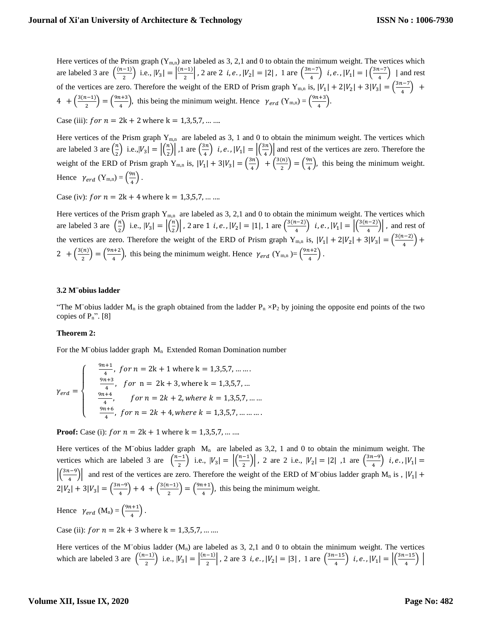Here vertices of the Prism graph  $(Y_{m,n})$  are labeled as 3, 2,1 and 0 to obtain the minimum weight. The vertices which are labeled 3 are  $\left(\frac{(n-1)}{2}\right)$  $\left| \frac{-1}{2} \right|$  i.e.,  $|V_3| = \left| \frac{(n-1)}{2} \right|$  $\left| \frac{-1}{2} \right|$ , 2 are 2 *i*, *e*.,  $|V_2| = |2|$ , 1 are  $\left( \frac{3n-7}{4} \right)$  $\binom{n-7}{4}$  i, e.,  $|V_1| = |\binom{3n-7}{4}$  $\left(\frac{1}{4}\right)$  | and rest of the vertices are zero. Therefore the weight of the ERD of Prism graph  $Y_{m,n}$  is,  $|V_1| + 2|V_2| + 3|V_3| = \left(\frac{3n-7}{4}\right)^{1/2}$  $\frac{1}{4}$  +  $4 + \left(\frac{3(n-1)}{2}\right)$  $\binom{n-1}{2} = \binom{9n+3}{4}$  $\frac{(1+3)}{4}$ , this being the minimum weight. Hence  $\gamma_{erd}$  (Y<sub>m,n</sub>) =  $\left(\frac{9n+3}{4}\right)$  $\frac{1}{4}$ ).

Case (iii):  $for n = 2k + 2$  where  $k = 1,3,5,7, ...$ 

Here vertices of the Prism graph  $Y_{m,n}$  are labeled as 3, 1 and 0 to obtain the minimum weight. The vertices which are labeled 3 are  $\left(\frac{n}{2}\right)$  $\left(\frac{n}{2}\right)$  i.e.,  $|V_3| = \left|\left(\frac{n}{2}\right)\right|$  $\left(\frac{n}{2}\right)$ , 1 are  $\left(\frac{3n}{4}\right)$  $\left(\frac{3n}{4}\right)$  i, e.,  $|V_1| = \left| \left(\frac{3n}{4}\right)$  $\left(\frac{n}{4}\right)$  and rest of the vertices are zero. Therefore the weight of the ERD of Prism graph  $Y_{m,n}$  is,  $|V_1| + 3|V_3| = \left(\frac{3n}{4}\right)^n$  $\binom{3n}{4}$  +  $\binom{3(n)}{2}$  $\binom{n}{2} = \binom{9n}{4}$  $\frac{m}{4}$ ), this being the minimum weight. Hence  $\gamma_{erd}$  (Y<sub>m,n</sub>) =  $\left(\frac{9n}{4}\right)$  $\frac{m}{4}$ ).

Case (iv):  $for n = 2k + 4$  where  $k = 1,3,5,7, ...$ 

Here vertices of the Prism graph  $Y_{m,n}$  are labeled as 3, 2,1 and 0 to obtain the minimum weight. The vertices which are labeled 3 are  $\left(\frac{n}{2}\right)$  $\left(\frac{n}{2}\right)$  i.e.,  $|V_3| = \left| \left(\frac{n}{2}\right) \right|$  $\left| \frac{n}{2} \right|$ , 2 are 1 *i*, *e*.,  $|V_2| = |1|$ , 1 are  $\left( \frac{3(n-2)}{4} \right)$  $\binom{n-2}{4}$  i, e.,  $|V_1| = \left| \binom{3(n-2)}{4} \right|$  $\left(\frac{a-2j}{4}\right)$ , and rest of the vertices are zero. Therefore the weight of the ERD of Prism graph  $Y_{m,n}$  is,  $|V_1| + 2|V_2| + 3|V_3| = \left(\frac{3(n-2)}{4}\right)^{1/2}$  $\frac{(-2)}{4}$  + 2 +  $\frac{3(n)}{2}$  $\binom{n}{2} = \binom{9n+2}{4}$  $\frac{(4+2)}{4}$ , this being the minimum weight. Hence  $\gamma_{erd}$  (Y<sub>m,n</sub>)=  $\left(\frac{9n+2}{4}\right)$  $\frac{1+2}{4}$ .

#### **3.2 M¨obius ladder**

"The M"obius ladder  $M_n$  is the graph obtained from the ladder  $P_n \times P_2$  by joining the opposite end points of the two copies of  $P_n$ ". [8]

## **Theorem 2:**

For the M¨obius ladder graph  $M_n$  Extended Roman Domination number

$$
\gamma_{erd} = \begin{cases}\n\frac{9n+1}{4}, & \text{for } n = 2k+1 \text{ where } k = 1,3,5,7, \dots \dots \\
\frac{9n+3}{4}, & \text{for } n = 2k+3, \text{ where } k = 1,3,5,7, \dots \\
\frac{9n+4}{4}, & \text{for } n = 2k+2, \text{where } k = 1,3,5,7, \dots \dots \\
\frac{9n+6}{4}, & \text{for } n = 2k+4, \text{where } k = 1,3,5,7, \dots \dots\n\end{cases}
$$

**Proof:** Case (i):  $for n = 2k + 1$  where  $k = 1,3,5,7, ...$ 

Here vertices of the M¨obius ladder graph  $M_n$  are labeled as 3,2, 1 and 0 to obtain the minimum weight. The vertices which are labeled 3 are  $\left(\frac{n-1}{2}\right)$  $\binom{-1}{2}$  i.e.,  $|V_3| = \left| \binom{n-1}{2} \right|$  $\left[\frac{-1}{2}\right]$ , 2 are 2 i.e.,  $|V_2| = |2|$ , 1 are  $\left(\frac{3n-9}{4}\right)$  $\left(\frac{i-9}{4}\right)$  i, e.,  $|V_1|$  =  $\frac{3n-9}{4}$  $\frac{1}{4}$  and rest of the vertices are zero. Therefore the weight of the ERD of M obius ladder graph M<sub>n</sub> is,  $|V_1| +$  $2|V_2| + 3|V_3| = \left(\frac{3n-9}{4}\right)$  $\binom{1-9}{4}$  + 4 +  $\binom{3(n-1)}{2}$  $\binom{n-1}{2} = \binom{9n+1}{4}$  $\left(\frac{n+1}{4}\right)$ , this being the minimum weight.

Hence  $\gamma_{erd}$  (M<sub>n</sub>) =  $\left(\frac{9n+1}{4}\right)$  $\frac{1}{4}$ ).

Case (ii):  $for n = 2k + 3$  where  $k = 1,3,5,7, ...$ 

Here vertices of the M¨obius ladder  $(M_n)$  are labeled as 3, 2,1 and 0 to obtain the minimum weight. The vertices which are labeled 3 are  $\left(\frac{(n-1)}{2}\right)$  $\left| \frac{-1}{2} \right|$  i.e.,  $|V_3| = \left| \frac{(n-1)}{2} \right|$  $\left| \frac{-1}{2} \right|$ , 2 are 3 *i*, *e*.,  $|V_2| = |3|$ , 1 are  $\left( \frac{3n-15}{4} \right)$  $\left| \frac{-15}{4} \right|$  i, e.,  $|V_1| = \left| \frac{(3n-15)}{4} \right|$  $\frac{-13}{4}$ ) |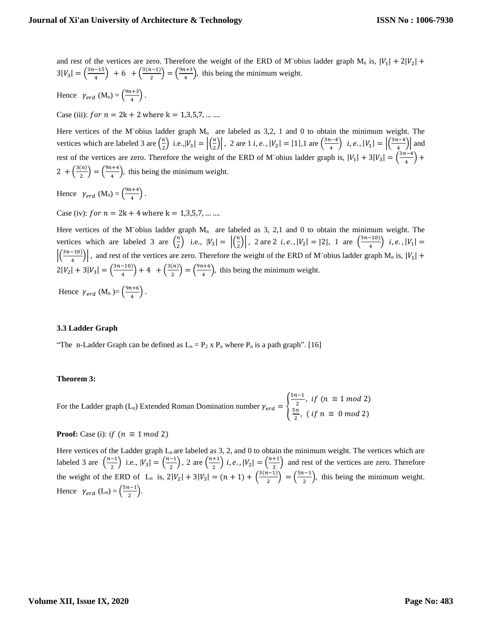and rest of the vertices are zero. Therefore the weight of the ERD of M obius ladder graph  $M_n$  is,  $|V_1| + 2|V_2| +$  $3|V_3| = \left(\frac{3n-15}{4}\right)$  $\frac{-15}{4}$  + 6 +  $\left(\frac{3(n-1)}{2}\right)$  $\binom{n-1}{2} = \binom{9n+3}{4}$  $\left(\frac{t+3}{4}\right)$ , this being the minimum weight.

Hence  $\gamma_{erd}$  (M<sub>n</sub>) =  $\left(\frac{9n+3}{4}\right)$  $\frac{1+3}{4}$ .

Case (iii):  $for n = 2k + 2$  where  $k = 1,3,5,7, ...$ 

Here vertices of the M¨obius ladder graph  $M_n$  are labeled as 3,2, 1 and 0 to obtain the minimum weight. The vertices which are labeled 3 are  $\left(\frac{n}{2}\right)$  $\binom{n}{2}$  i.e.,  $|V_3| = \left| \left( \frac{n}{2} \right) \right|$  $\left\lfloor \frac{n}{2} \right\rfloor$ , 2 are 1 *i*, *e*.,  $|V_2| = |1|$ , 1 are  $\left( \frac{3n-4}{4} \right)$  $\binom{n-4}{4}$  i, e.,  $|V_1| = \left| \binom{3n-4}{4} \right|$  $\left(\frac{1}{4}\right)$  and rest of the vertices are zero. Therefore the weight of the ERD of M<sup>o</sup>obius ladder graph is,  $|V_1| + 3|V_3| = \left(\frac{3n-4}{4}\right)$  $\frac{1}{4}$  +  $2 + \left(\frac{3(n)}{2}\right)$  $\binom{n}{2} = \binom{9n+4}{4}$  $\left(\frac{t+4}{4}\right)$ , this being the minimum weight.

Hence  $\gamma_{erd}$  (M<sub>n</sub>) =  $\left(\frac{9n+4}{4}\right)$  $\frac{1}{4}$ ).

Case (iv):  $for n = 2k + 4$  where  $k = 1,3,5,7, ...$ 

Here vertices of the M¨obius ladder graph  $M_n$  are labeled as 3, 2,1 and 0 to obtain the minimum weight. The vertices which are labeled 3 are  $\left(\frac{n}{2}\right)$  $\left(\frac{n}{2}\right)$  i.e.,  $|V_3| = \left| \left(\frac{n}{2}\right) \right|$  $\left| \frac{n}{2} \right|$ , 2 are 2 *i, e.*,  $|V_2| = |2|$ , 1 are  $\left( \frac{3n-10}{4} \right)$  $\left(\frac{10}{4}\right)$  i, e.,  $|V_1|$  =  $\left| \left( \frac{3n-10}{4} \right) \right|$  $\frac{(4-10)}{4}$ , and rest of the vertices are zero. Therefore the weight of the ERD of M obius ladder graph M<sub>n</sub> is,  $|V_1| +$  $2|V_2| + 3|V_3| = \left(\frac{3n-10}{4}\right)$  $\binom{-10}{4}$  + 4 +  $\binom{3(n)}{2}$  $\binom{n}{2} = \binom{9n+6}{4}$  $\left(\frac{u+6}{4}\right)$ , this being the minimum weight.

Hence  $\gamma_{erd}$  (M<sub>n</sub>) =  $\left(\frac{9n+6}{4}\right)$  $\frac{1+6}{4}$ .

## **3.3 Ladder Graph**

"The n-Ladder Graph can be defined as  $L_n = P_2 x P_n$  where  $P_n$  is a path graph". [16]

#### **Theorem 3:**

For the Ladder graph (L<sub>n</sub>) Extended Roman Domination number  $\gamma_{erd} = \{$  $5n-1$  $\frac{i-1}{2}$ , if  $(n \equiv 1 \mod 2)$ 5  $\frac{m}{2}$ , (if  $n \equiv 0 \mod 2$ )

**Proof:** Case (i): if  $(n \equiv 1 \mod 2)$ 

Here vertices of the Ladder graph  $L_n$  are labeled as 3, 2, and 0 to obtain the minimum weight. The vertices which are labeled 3 are  $\left(\frac{n-1}{2}\right)$  $\left(\frac{n-1}{2}\right)$  i.e.,  $|V_3| = \left(\frac{n-1}{2}\right)$  $\binom{-1}{2}$ , 2 are  $\binom{n+1}{2}$  $\binom{+1}{2}$  i, e.,  $|V_2| = \binom{n+1}{2}$  $\frac{1}{2}$  and rest of the vertices are zero. Therefore the weight of the ERD of L<sub>n</sub> is,  $2|V_2| + 3|V_3| = (n+1) + \left(\frac{3(n-1)}{2}\right)$  $\binom{n-1}{2} = \binom{5n-1}{2}$  $\frac{1}{2}$ , this being the minimum weight. Hence  $\gamma_{erd}$  (L<sub>n</sub>) =  $\left(\frac{5n-1}{2}\right)$  $\frac{1}{2}$ ).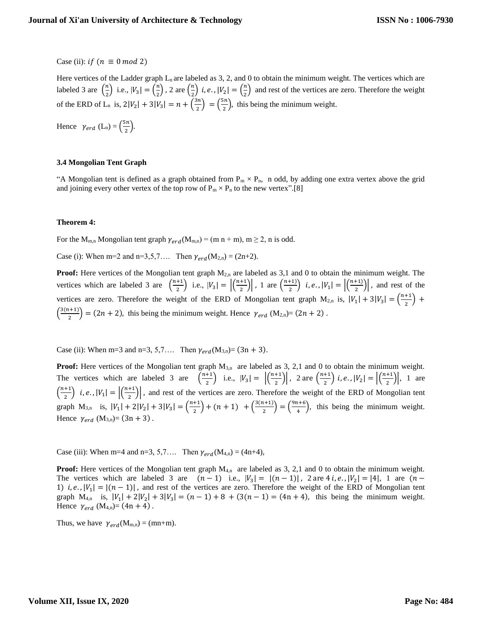Case (ii): *if*  $(n \equiv 0 \mod 2)$ 

Here vertices of the Ladder graph  $L_n$  are labeled as 3, 2, and 0 to obtain the minimum weight. The vertices which are labeled 3 are  $\left(\frac{n}{2}\right)$  $\binom{n}{2}$  i.e.,  $|V_3| = \binom{n}{2}$  $\binom{n}{2}$ , 2 are  $\binom{n}{2}$  $\binom{n}{2}$  i, e.,  $|V_2| = \binom{n}{2}$  $\frac{\pi}{2}$  and rest of the vertices are zero. Therefore the weight of the ERD of L<sub>n</sub> is,  $2|V_2| + 3|V_3| = n + \left(\frac{3n}{2}\right)$  $\left(\frac{3n}{2}\right) = \left(\frac{5n}{2}\right)$  $\frac{m}{2}$ , this being the minimum weight.

Hence  $\gamma_{erd}$  (L<sub>n</sub>) =  $\left(\frac{5n}{2}\right)$  $\frac{3\pi}{2}$ ).

## **3.4 Mongolian Tent Graph**

"A Mongolian tent is defined as a graph obtained from  $P_m \times P_n$ , n odd, by adding one extra vertex above the grid and joining every other vertex of the top row of  $P_m \times P_n$  to the new vertex".[8]

## **Theorem 4:**

For the M<sub>m,n</sub> Mongolian tent graph  $\gamma_{erd}(M_{m,n}) = (m n + m)$ ,  $m \ge 2$ , n is odd.

Case (i): When m=2 and n=3,5,7…. Then  $\gamma_{erd}(M_{2,n}) = (2n+2)$ .

**Proof:** Here vertices of the Mongolian tent graph  $M_{2,n}$  are labeled as 3,1 and 0 to obtain the minimum weight. The vertices which are labeled 3 are  $\left(\frac{n+1}{2}\right)$  $\frac{+1}{2}$ ) i.e.,  $|V_3| = \left| \frac{n+1}{2} \right|$  $\frac{+1}{2}$ ), 1 are  $\left(\frac{n+1}{2}\right)$  $\binom{+1}{2}$  i, e.,  $|V_1| = \left| \binom{n+1}{2} \right|$  $\left(\frac{r_1}{2}\right)$ , and rest of the vertices are zero. Therefore the weight of the ERD of Mongolian tent graph  $M_{2,n}$  is,  $|V_1| + 3|V_3| = \left(\frac{n+1}{2}\right)^n$  $\frac{1}{2}$  +  $\frac{3(n+1)}{2}$  $\left(\frac{2n+1}{2}\right) = (2n+2)$ , this being the minimum weight. Hence  $\gamma_{\text{erd}}$  (M<sub>2,n</sub>)= (2n + 2).

Case (ii): When m=3 and n=3, 5,7.... Then  $\gamma_{erd}(M_{3,n}) = (3n + 3)$ .

**Proof:** Here vertices of the Mongolian tent graph  $M_{3,n}$  are labeled as 3, 2,1 and 0 to obtain the minimum weight. The vertices which are labeled 3 are  $\left(\frac{n+1}{2}\right)$  $\frac{+1}{2}$ ) i.e.,  $|V_3| = \left| \left( \frac{n+1}{2} \right) \right|$  $\left(\frac{n+1}{2}\right)$ , 2 are  $\left(\frac{n+1}{2}\right)$  $\binom{+1}{2}$  i, e.,  $|V_2| = \left| \binom{n+1}{2} \right|$  $\left| \frac{1}{2} \right|$ , 1 are  $\left(\frac{n+1}{2}\right)$  $\binom{+1}{2}$  i, e.,  $|V_1| = \left| \binom{n+1}{2} \right|$  $\left(\frac{1}{2}\right)$ , and rest of the vertices are zero. Therefore the weight of the ERD of Mongolian tent graph  $M_{3,n}$  is,  $|V_1| + 2|V_2| + 3|V_3| = \left(\frac{n+1}{2}\right)$  $\frac{+1}{2}$  + (n + 1) +  $\frac{3(n+1)}{2}$  $\binom{n+1}{2} = \binom{9n+6}{4}$  $\left(\frac{u+6}{4}\right)$ , this being the minimum weight. Hence  $\gamma_{erd}$  (M<sub>3,n</sub>)= (3n + 3).

Case (iii): When m=4 and n=3, 5,7.... Then  $\gamma_{erd}(M_{4,n}) = (4n+4)$ ,

**Proof:** Here vertices of the Mongolian tent graph  $M_{4,n}$  are labeled as 3, 2,1 and 0 to obtain the minimum weight. The vertices which are labeled 3 are  $(n-1)$  i.e.,  $|V_3| = |(n-1)|$ , 2 are 4 i, e.,  $|V_2| = |4|$ , 1 are  $(n-1)$ 1) *i, e.*,  $|V_1| = |(n-1)|$ , and rest of the vertices are zero. Therefore the weight of the ERD of Mongolian tent graph  $M_{4,n}$  is,  $|V_1| + 2|V_2| + 3|V_3| = (n-1) + 8 + (3(n-1)) = (4n+4)$ , this being the minimum weight. Hence  $\gamma_{erd}$  (M<sub>4,n</sub>)= (4n + 4).

Thus, we have  $\gamma_{erd}(M_{m,n}) = (mn+m)$ .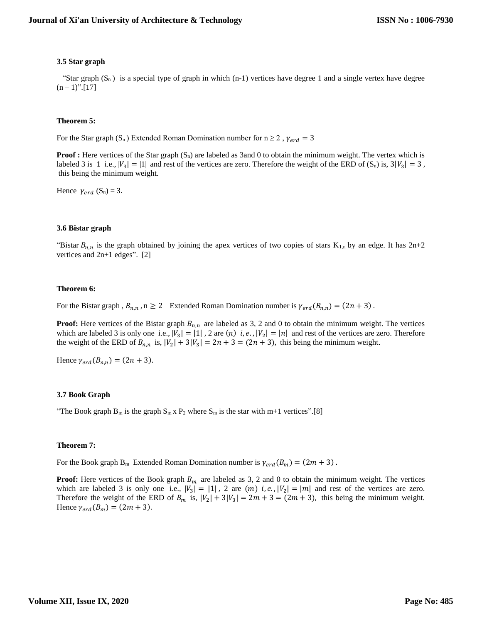## **3.5 Star graph**

"Star graph  $(S_n)$  is a special type of graph in which (n-1) vertices have degree 1 and a single vertex have degree  $(n-1)$ ".[17]

## **Theorem 5:**

For the Star graph (S<sub>n</sub>) Extended Roman Domination number for  $n \ge 2$ ,  $\gamma_{erd} = 3$ 

**Proof :** Here vertices of the Star graph (S<sub>n</sub>) are labeled as 3and 0 to obtain the minimum weight. The vertex which is labeled 3 is 1 i.e.,  $|V_3| = |1|$  and rest of the vertices are zero. Therefore the weight of the ERD of  $(S_n)$  is,  $3|V_3| = 3$ , this being the minimum weight.

Hence  $\gamma_{erd}$  (S<sub>n</sub>) = 3.

## **3.6 Bistar graph**

"Bistar  $B_{n,n}$  is the graph obtained by joining the apex vertices of two copies of stars  $K_{1,n}$  by an edge. It has  $2n+2$ vertices and 2n+1 edges". [2]

#### **Theorem 6:**

For the Bistar graph ,  $B_{n,n}$ ,  $n \ge 2$  Extended Roman Domination number is  $\gamma_{erd}(B_{n,n}) = (2n + 3)$ .

**Proof:** Here vertices of the Bistar graph  $B_{n,n}$  are labeled as 3, 2 and 0 to obtain the minimum weight. The vertices which are labeled 3 is only one i.e.,  $|V_3| = |1|$ , 2 are  $(n)$  i, e.,  $|V_2| = |n|$  and rest of the vertices are zero. Therefore the weight of the ERD of  $B_{n,n}$  is,  $|V_2| + 3|V_3| = 2n + 3 = (2n + 3)$ , this being the minimum weight.

Hence  $\gamma_{erd}(B_{n,n}) = (2n + 3)$ .

## **3.7 Book Graph**

"The Book graph  $B_m$  is the graph  $S_m \times P_2$  where  $S_m$  is the star with  $m+1$  vertices".[8]

## **Theorem 7:**

For the Book graph B<sub>m</sub> Extended Roman Domination number is  $\gamma_{erd}(B_m) = (2m + 3)$ .

**Proof:** Here vertices of the Book graph  $B_m$  are labeled as 3, 2 and 0 to obtain the minimum weight. The vertices which are labeled 3 is only one i.e.,  $|V_3| = |1|$ , 2 are  $(m)$  i, e.,  $|V_2| = |m|$  and rest of the vertices are zero. Therefore the weight of the ERD of  $B_m$  is,  $|V_2| + 3|V_3| = 2m + 3 = (2m + 3)$ , this being the minimum weight. Hence  $\gamma_{erd}(B_m) = (2m + 3)$ .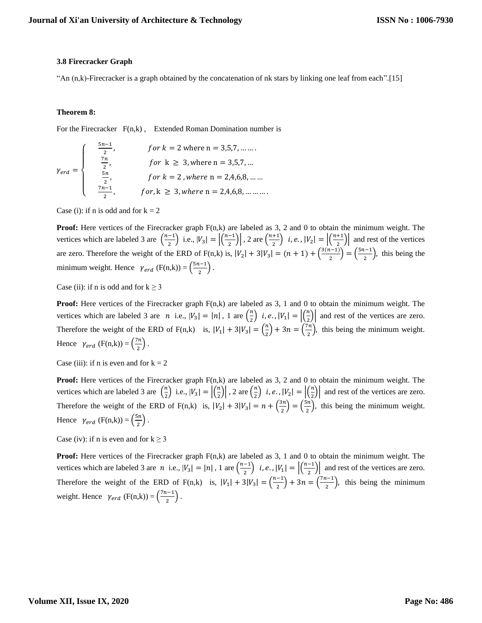## **3.8 Firecracker Graph**

"An (n,k)-Firecracker is a graph obtained by the concatenation of nk stars by linking one leaf from each".[15]

## **Theorem 8:**

For the Firecracker  $F(n,k)$ , Extended Roman Domination number is

$$
\gamma_{erd} = \begin{cases}\n\frac{5n-1}{2}, & \text{for } k = 2 \text{ where } n = 3,5,7, \dots \dots \\
\frac{7n}{2}, & \text{for } k \ge 3, \text{ where } n = 3,5,7, \dots \\
\frac{5n}{2}, & \text{for } k = 2, \text{ where } n = 2,4,6,8, \dots \dots \\
\frac{7n-1}{2}, & \text{for } k \ge 3, \text{ where } n = 2,4,6,8, \dots \dots \dots\n\end{cases}
$$

Case (i): if n is odd and for  $k = 2$ 

**Proof:** Here vertices of the Firecracker graph  $F(n,k)$  are labeled as 3, 2 and 0 to obtain the minimum weight. The vertices which are labeled 3 are  $\left(\frac{n-1}{2}\right)$  $\left| \frac{-1}{2} \right|$  i.e.,  $|V_3| = \left| \frac{n-1}{2} \right|$  $\left\lfloor \frac{-1}{2} \right\rfloor$ , 2 are  $\left\lfloor \frac{n+1}{2} \right\rfloor$  $\binom{+1}{2}$  i, e.,  $|V_2| = \left| \binom{n+1}{2} \right|$  $\frac{+1}{2}$  and rest of the vertices are zero. Therefore the weight of the ERD of F(n,k) is,  $|V_2| + 3|V_3| = (n + 1) + \left(\frac{3(n-1)}{2}\right)$  $\binom{n-1}{2} = \binom{5n-1}{2}$  $\frac{1}{2}$ , this being the minimum weight. Hence  $\gamma_{erd}$  (F(n,k)) =  $\left(\frac{5n-1}{2}\right)$  $\frac{(-1)}{2}$ .

Case (ii): if n is odd and for  $k > 3$ 

**Proof:** Here vertices of the Firecracker graph  $F(n,k)$  are labeled as 3, 1 and 0 to obtain the minimum weight. The vertices which are labeled 3 are *n* i.e.,  $|V_3| = |n|$ , 1 are  $\left(\frac{n}{2}\right)$  $\left(\frac{n}{2}\right)$  i, e.,  $|V_1| = \left|\left(\frac{n}{2}\right)\right|$  $\left| \frac{n}{2} \right|$  and rest of the vertices are zero. Therefore the weight of the ERD of F(n,k) is,  $|V_1| + 3|V_3| = \left(\frac{n}{2}\right)$  $\binom{n}{2}+3n=\binom{7n}{2}$  $\frac{\pi}{2}$ ), this being the minimum weight. Hence  $\gamma_{erd}$  (F(n,k)) =  $\left(\frac{7n}{2}\right)$  $\frac{n}{2}$ ).

Case (iii): if n is even and for  $k = 2$ 

**Proof:** Here vertices of the Firecracker graph  $F(n,k)$  are labeled as 3, 2 and 0 to obtain the minimum weight. The vertices which are labeled 3 are  $\left(\frac{n}{2}\right)$  $\binom{n}{2}$  i.e.,  $|V_3| = \left| \binom{n}{2} \right|$  $\left\lfloor \frac{n}{2} \right\rfloor$ , 2 are  $\left\lfloor \frac{n}{2} \right\rfloor$  $\left(\frac{n}{2}\right)$  i, e.,  $|V_2| = \left|\left(\frac{n}{2}\right)\right|$  $\left| \frac{n}{2} \right|$  and rest of the vertices are zero. Therefore the weight of the ERD of F(n,k) is,  $|V_2| + 3|V_3| = n + \left(\frac{3n}{2}\right)^2$  $\left(\frac{3n}{2}\right) = \left(\frac{5n}{2}\right)$  $\frac{m}{2}$ , this being the minimum weight. Hence  $\gamma_{erd}$  (F(n,k)) =  $\left(\frac{5n}{2}\right)$  $\frac{m}{2}$ ).

Case (iv): if n is even and for  $k \ge 3$ 

**Proof:** Here vertices of the Firecracker graph F(n,k) are labeled as 3, 1 and 0 to obtain the minimum weight. The vertices which are labeled 3 are *n* i.e.,  $|V_3| = |n|$ , 1 are  $\left(\frac{n-1}{2}\right)$  $\binom{-1}{2}$  i, e.,  $|V_1| = \left| \binom{n-1}{2} \right|$  $\left(\frac{-1}{2}\right)$  and rest of the vertices are zero. Therefore the weight of the ERD of F(n,k) is,  $|V_1| + 3|V_3| = \left(\frac{n-1}{2}\right)$  $\binom{-1}{2} + 3n = \binom{7n-1}{2}$  $\frac{1}{2}$ , this being the minimum weight. Hence  $\gamma_{erd}$  (F(n,k)) =  $\left(\frac{7n-1}{2}\right)$  $\frac{(-1)}{2}$ .